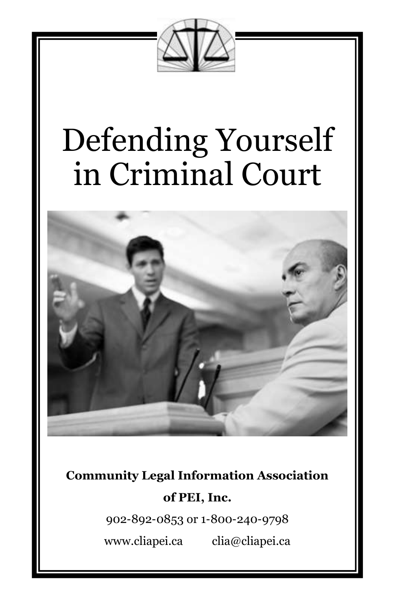

# Defending Yourself in Criminal Court



# **Community Legal Information Association of PEI, Inc.**

902-892-0853 or 1-800-240-9798 www.cliapei.ca clia@cliapei.ca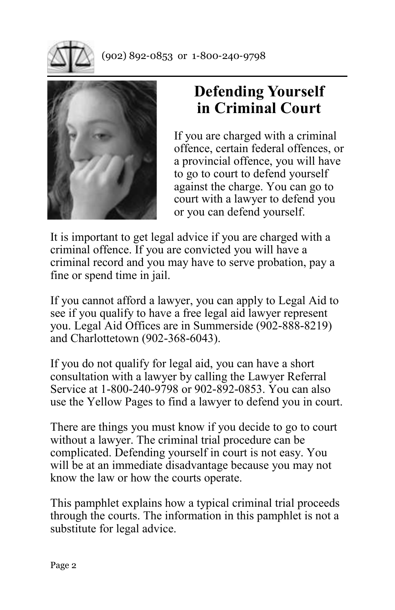



## **Defending Yourself in Criminal Court**

If you are charged with a criminal offence, certain federal offences, or a provincial offence, you will have to go to court to defend yourself against the charge. You can go to court with a lawyer to defend you or you can defend yourself.

It is important to get legal advice if you are charged with a criminal offence. If you are convicted you will have a criminal record and you may have to serve probation, pay a fine or spend time in jail.

If you cannot afford a lawyer, you can apply to Legal Aid to see if you qualify to have a free legal aid lawyer represent you. Legal Aid Offices are in Summerside (902-888-8219) and Charlottetown (902-368-6043).

If you do not qualify for legal aid, you can have a short consultation with a lawyer by calling the Lawyer Referral Service at 1-800-240-9798 or 902-892-0853. You can also use the Yellow Pages to find a lawyer to defend you in court.

There are things you must know if you decide to go to court without a lawyer. The criminal trial procedure can be complicated. Defending yourself in court is not easy. You will be at an immediate disadvantage because you may not know the law or how the courts operate.

This pamphlet explains how a typical criminal trial proceeds through the courts. The information in this pamphlet is not a substitute for legal advice.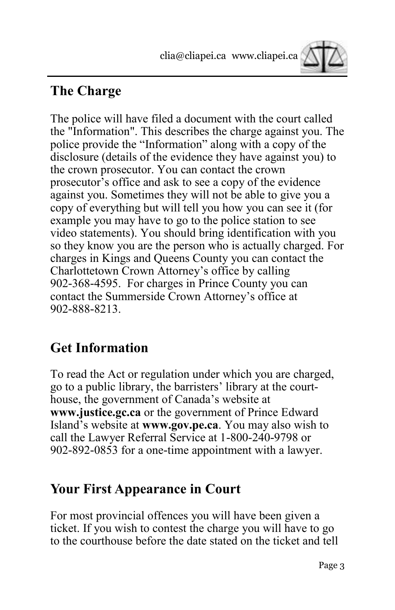

#### **The Charge**

The police will have filed a document with the court called the "Information". This describes the charge against you. The police provide the "Information" along with a copy of the disclosure (details of the evidence they have against you) to the crown prosecutor. You can contact the crown prosecutor's office and ask to see a copy of the evidence against you. Sometimes they will not be able to give you a copy of everything but will tell you how you can see it (for example you may have to go to the police station to see video statements). You should bring identification with you so they know you are the person who is actually charged. For charges in Kings and Queens County you can contact the Charlottetown Crown Attorney's office by calling 902-368-4595. For charges in Prince County you can contact the Summerside Crown Attorney's office at 902-888-8213.

#### **Get Information**

To read the Act or regulation under which you are charged, go to a public library, the barristers' library at the courthouse, the government of Canada's website at **www.justice.gc.ca** or the government of Prince Edward Island's website at **www.gov.pe.ca**. You may also wish to call the Lawyer Referral Service at 1-800-240-9798 or 902-892-0853 for a one-time appointment with a lawyer.

#### **Your First Appearance in Court**

For most provincial offences you will have been given a ticket. If you wish to contest the charge you will have to go to the courthouse before the date stated on the ticket and tell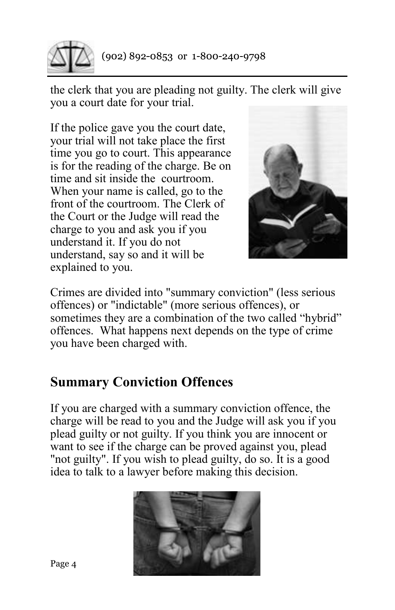

the clerk that you are pleading not guilty. The clerk will give you a court date for your trial.

If the police gave you the court date, your trial will not take place the first time you go to court. This appearance is for the reading of the charge. Be on time and sit inside the courtroom. When your name is called, go to the front of the courtroom. The Clerk of the Court or the Judge will read the charge to you and ask you if you understand it. If you do not understand, say so and it will be explained to you.



Crimes are divided into "summary conviction" (less serious offences) or "indictable" (more serious offences), or sometimes they are a combination of the two called "hybrid" offences. What happens next depends on the type of crime you have been charged with.

#### **Summary Conviction Offences**

If you are charged with a summary conviction offence, the charge will be read to you and the Judge will ask you if you plead guilty or not guilty. If you think you are innocent or want to see if the charge can be proved against you, plead "not guilty". If you wish to plead guilty, do so. It is a good idea to talk to a lawyer before making this decision.

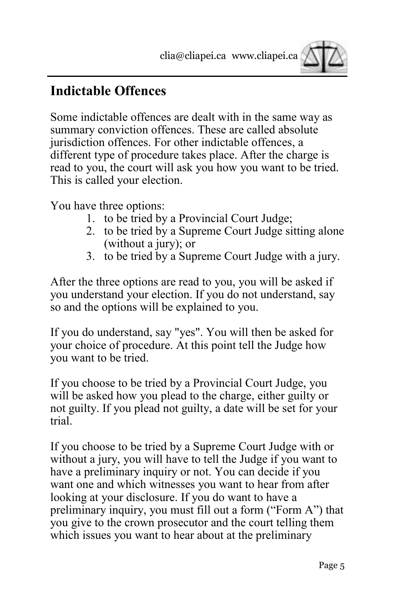

#### **Indictable Offences**

Some indictable offences are dealt with in the same way as summary conviction offences. These are called absolute jurisdiction offences. For other indictable offences, a different type of procedure takes place. After the charge is read to you, the court will ask you how you want to be tried. This is called your election.

You have three options:

- 1. to be tried by a Provincial Court Judge;
- 2. to be tried by a Supreme Court Judge sitting alone (without a jury); or
- 3. to be tried by a Supreme Court Judge with a jury.

After the three options are read to you, you will be asked if you understand your election. If you do not understand, say so and the options will be explained to you.

If you do understand, say "yes". You will then be asked for your choice of procedure. At this point tell the Judge how you want to be tried.

If you choose to be tried by a Provincial Court Judge, you will be asked how you plead to the charge, either guilty or not guilty. If you plead not guilty, a date will be set for your trial.

If you choose to be tried by a Supreme Court Judge with or without a jury, you will have to tell the Judge if you want to have a preliminary inquiry or not. You can decide if you want one and which witnesses you want to hear from after looking at your disclosure. If you do want to have a preliminary inquiry, you must fill out a form ("Form A") that you give to the crown prosecutor and the court telling them which issues you want to hear about at the preliminary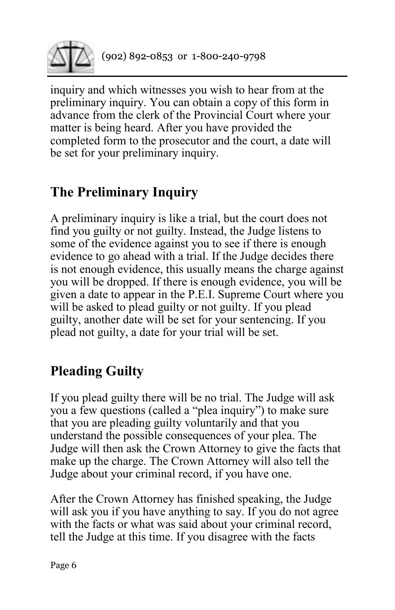

inquiry and which witnesses you wish to hear from at the preliminary inquiry. You can obtain a copy of this form in advance from the clerk of the Provincial Court where your matter is being heard. After you have provided the completed form to the prosecutor and the court, a date will be set for your preliminary inquiry.

## **The Preliminary Inquiry**

A preliminary inquiry is like a trial, but the court does not find you guilty or not guilty. Instead, the Judge listens to some of the evidence against you to see if there is enough evidence to go ahead with a trial. If the Judge decides there is not enough evidence, this usually means the charge against you will be dropped. If there is enough evidence, you will be given a date to appear in the P.E.I. Supreme Court where you will be asked to plead guilty or not guilty. If you plead guilty, another date will be set for your sentencing. If you plead not guilty, a date for your trial will be set.

## **Pleading Guilty**

If you plead guilty there will be no trial. The Judge will ask you a few questions (called a "plea inquiry") to make sure that you are pleading guilty voluntarily and that you understand the possible consequences of your plea. The Judge will then ask the Crown Attorney to give the facts that make up the charge. The Crown Attorney will also tell the Judge about your criminal record, if you have one.

After the Crown Attorney has finished speaking, the Judge will ask you if you have anything to say. If you do not agree with the facts or what was said about your criminal record, tell the Judge at this time. If you disagree with the facts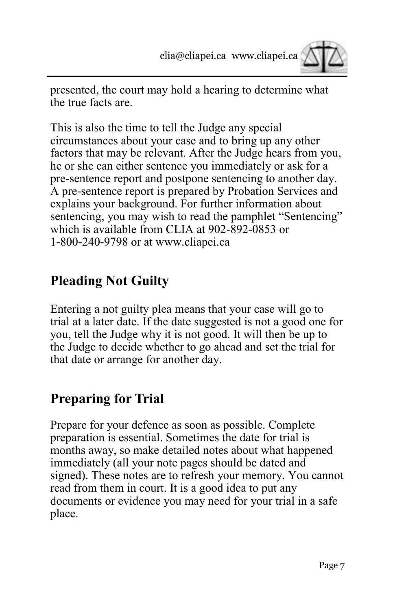

presented, the court may hold a hearing to determine what the true facts are.

This is also the time to tell the Judge any special circumstances about your case and to bring up any other factors that may be relevant. After the Judge hears from you, he or she can either sentence you immediately or ask for a pre-sentence report and postpone sentencing to another day. A pre-sentence report is prepared by Probation Services and explains your background. For further information about sentencing, you may wish to read the pamphlet "Sentencing" which is available from CLIA at 902-892-0853 or 1-800-240-9798 or at www.cliapei.ca

#### **Pleading Not Guilty**

Entering a not guilty plea means that your case will go to trial at a later date. If the date suggested is not a good one for you, tell the Judge why it is not good. It will then be up to the Judge to decide whether to go ahead and set the trial for that date or arrange for another day.

### **Preparing for Trial**

Prepare for your defence as soon as possible. Complete preparation is essential. Sometimes the date for trial is months away, so make detailed notes about what happened immediately (all your note pages should be dated and signed). These notes are to refresh your memory. You cannot read from them in court. It is a good idea to put any documents or evidence you may need for your trial in a safe place.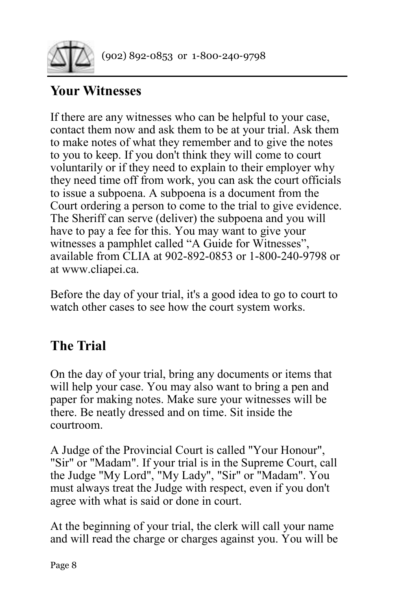

#### **Your Witnesses**

If there are any witnesses who can be helpful to your case, contact them now and ask them to be at your trial. Ask them to make notes of what they remember and to give the notes to you to keep. If you don't think they will come to court voluntarily or if they need to explain to their employer why they need time off from work, you can ask the court officials to issue a subpoena. A subpoena is a document from the Court ordering a person to come to the trial to give evidence. The Sheriff can serve (deliver) the subpoena and you will have to pay a fee for this. You may want to give your witnesses a pamphlet called "A Guide for Witnesses", available from CLIA at 902-892-0853 or 1-800-240-9798 or at www.cliapei.ca.

Before the day of your trial, it's a good idea to go to court to watch other cases to see how the court system works.

## **The Trial**

On the day of your trial, bring any documents or items that will help your case. You may also want to bring a pen and paper for making notes. Make sure your witnesses will be there. Be neatly dressed and on time. Sit inside the courtroom.

A Judge of the Provincial Court is called "Your Honour", "Sir" or "Madam". If your trial is in the Supreme Court, call the Judge "My Lord", "My Lady", "Sir" or "Madam". You must always treat the Judge with respect, even if you don't agree with what is said or done in court.

At the beginning of your trial, the clerk will call your name and will read the charge or charges against you. You will be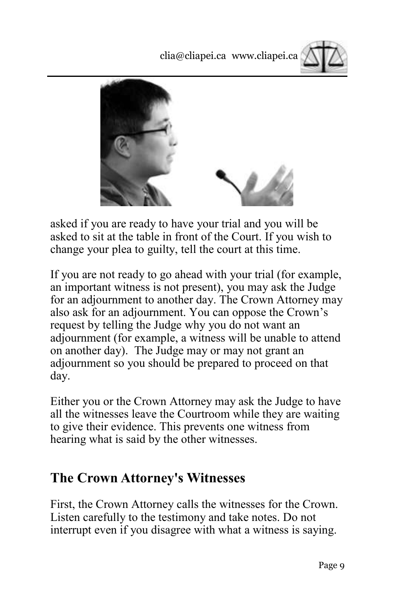clia@cliapei.ca www.cliapei.ca





asked if you are ready to have your trial and you will be asked to sit at the table in front of the Court. If you wish to change your plea to guilty, tell the court at this time.

If you are not ready to go ahead with your trial (for example, an important witness is not present), you may ask the Judge for an adjournment to another day. The Crown Attorney may also ask for an adjournment. You can oppose the Crown's request by telling the Judge why you do not want an adjournment (for example, a witness will be unable to attend on another day). The Judge may or may not grant an adjournment so you should be prepared to proceed on that day.

Either you or the Crown Attorney may ask the Judge to have all the witnesses leave the Courtroom while they are waiting to give their evidence. This prevents one witness from hearing what is said by the other witnesses.

#### **The Crown Attorney's Witnesses**

First, the Crown Attorney calls the witnesses for the Crown. Listen carefully to the testimony and take notes. Do not interrupt even if you disagree with what a witness is saying.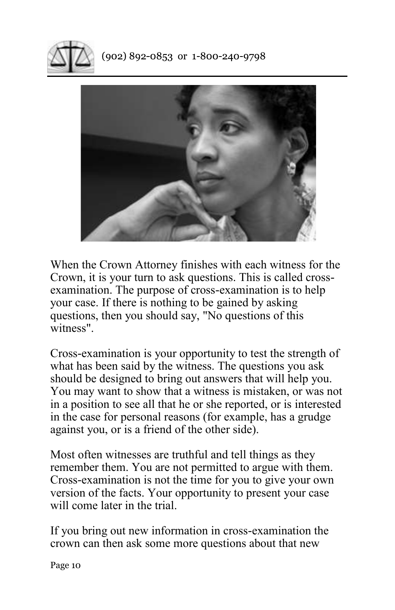

(902) 892-0853 or 1-800-240-9798



When the Crown Attorney finishes with each witness for the Crown, it is your turn to ask questions. This is called crossexamination. The purpose of cross-examination is to help your case. If there is nothing to be gained by asking questions, then you should say, "No questions of this witness".

Cross-examination is your opportunity to test the strength of what has been said by the witness. The questions you ask should be designed to bring out answers that will help you. You may want to show that a witness is mistaken, or was not in a position to see all that he or she reported, or is interested in the case for personal reasons (for example, has a grudge against you, or is a friend of the other side).

Most often witnesses are truthful and tell things as they remember them. You are not permitted to argue with them. Cross-examination is not the time for you to give your own version of the facts. Your opportunity to present your case will come later in the trial.

If you bring out new information in cross-examination the crown can then ask some more questions about that new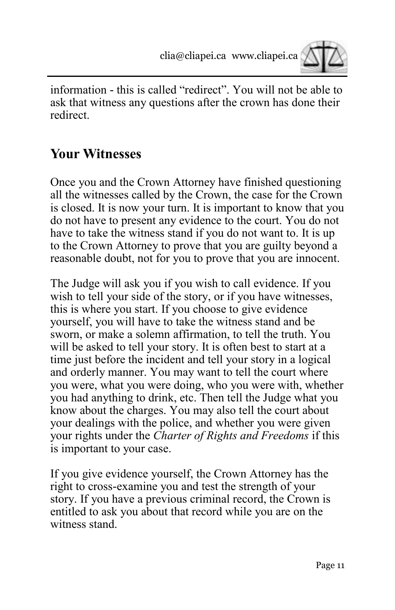

information - this is called "redirect". You will not be able to ask that witness any questions after the crown has done their redirect.

#### **Your Witnesses**

Once you and the Crown Attorney have finished questioning all the witnesses called by the Crown, the case for the Crown is closed. It is now your turn. It is important to know that you do not have to present any evidence to the court. You do not have to take the witness stand if you do not want to. It is up to the Crown Attorney to prove that you are guilty beyond a reasonable doubt, not for you to prove that you are innocent.

The Judge will ask you if you wish to call evidence. If you wish to tell your side of the story, or if you have witnesses, this is where you start. If you choose to give evidence yourself, you will have to take the witness stand and be sworn, or make a solemn affirmation, to tell the truth. You will be asked to tell your story. It is often best to start at a time just before the incident and tell your story in a logical and orderly manner. You may want to tell the court where you were, what you were doing, who you were with, whether you had anything to drink, etc. Then tell the Judge what you know about the charges. You may also tell the court about your dealings with the police, and whether you were given your rights under the *Charter of Rights and Freedoms* if this is important to your case.

If you give evidence yourself, the Crown Attorney has the right to cross-examine you and test the strength of your story. If you have a previous criminal record, the Crown is entitled to ask you about that record while you are on the witness stand.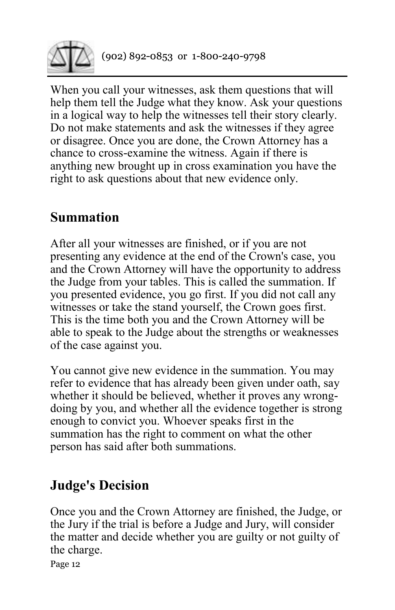

When you call your witnesses, ask them questions that will help them tell the Judge what they know. Ask your questions in a logical way to help the witnesses tell their story clearly. Do not make statements and ask the witnesses if they agree or disagree. Once you are done, the Crown Attorney has a chance to cross-examine the witness. Again if there is anything new brought up in cross examination you have the right to ask questions about that new evidence only.

#### **Summation**

After all your witnesses are finished, or if you are not presenting any evidence at the end of the Crown's case, you and the Crown Attorney will have the opportunity to address the Judge from your tables. This is called the summation. If you presented evidence, you go first. If you did not call any witnesses or take the stand yourself, the Crown goes first. This is the time both you and the Crown Attorney will be able to speak to the Judge about the strengths or weaknesses of the case against you.

You cannot give new evidence in the summation. You may refer to evidence that has already been given under oath, say whether it should be believed, whether it proves any wrongdoing by you, and whether all the evidence together is strong enough to convict you. Whoever speaks first in the summation has the right to comment on what the other person has said after both summations.

#### **Judge's Decision**

Once you and the Crown Attorney are finished, the Judge, or the Jury if the trial is before a Judge and Jury, will consider the matter and decide whether you are guilty or not guilty of the charge.

Page 12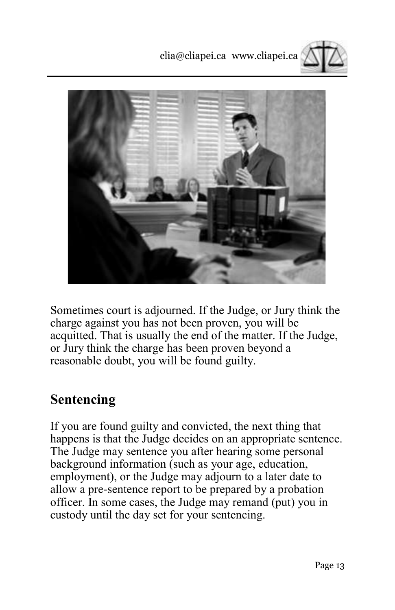





Sometimes court is adjourned. If the Judge, or Jury think the charge against you has not been proven, you will be acquitted. That is usually the end of the matter. If the Judge, or Jury think the charge has been proven beyond a reasonable doubt, you will be found guilty.

#### **Sentencing**

If you are found guilty and convicted, the next thing that happens is that the Judge decides on an appropriate sentence. The Judge may sentence you after hearing some personal background information (such as your age, education, employment), or the Judge may adjourn to a later date to allow a pre-sentence report to be prepared by a probation officer. In some cases, the Judge may remand (put) you in custody until the day set for your sentencing.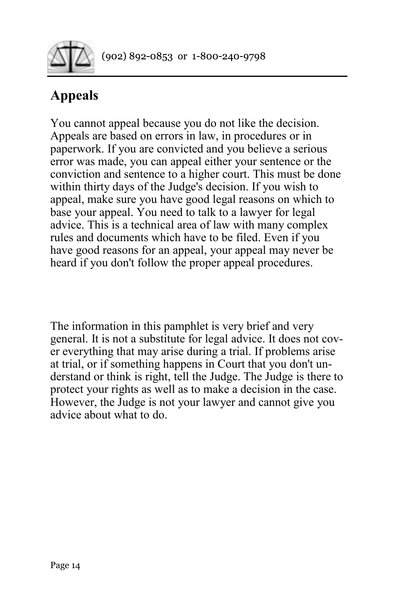

## **Appeals**

You cannot appeal because you do not like the decision. Appeals are based on errors in law, in procedures or in paperwork. If you are convicted and you believe a serious error was made, you can appeal either your sentence or the conviction and sentence to a higher court. This must be done within thirty days of the Judge's decision. If you wish to appeal, make sure you have good legal reasons on which to base your appeal. You need to talk to a lawyer for legal advice. This is a technical area of law with many complex rules and documents which have to be filed. Even if you have good reasons for an appeal, your appeal may never be heard if you don't follow the proper appeal procedures.

The information in this pamphlet is very brief and very general. It is not a substitute for legal advice. It does not cover everything that may arise during a trial. If problems arise at trial, or if something happens in Court that you don't understand or think is right, tell the Judge. The Judge is there to protect your rights as well as to make a decision in the case. However, the Judge is not your lawyer and cannot give you advice about what to do.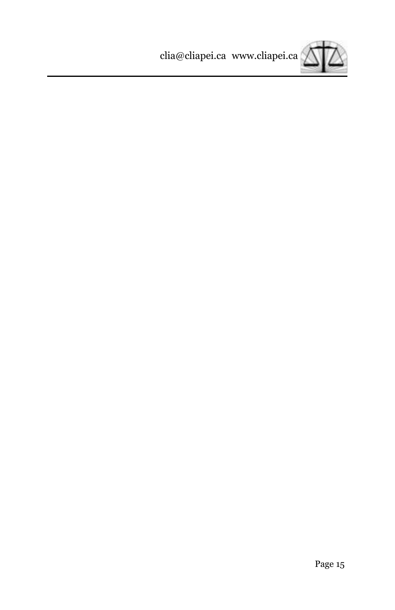